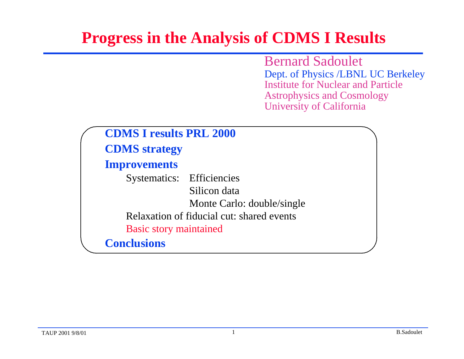## **Progress in the Analysis of CDMS I Results**

Bernard Sadoulet Dept. of Physics /LBNL UC Berkeley Institute for Nuclear and Particle Astrophysics and Cosmology University of California

| <b>CDMS I results PRL 2000</b>   |                                           |
|----------------------------------|-------------------------------------------|
| <b>CDMS</b> strategy             |                                           |
| <b>Improvements</b>              |                                           |
| <b>Systematics:</b> Efficiencies |                                           |
|                                  | Silicon data                              |
|                                  | Monte Carlo: double/single                |
|                                  | Relaxation of fiducial cut: shared events |
| <b>Basic story maintained</b>    |                                           |
| <b>Conclusions</b>               |                                           |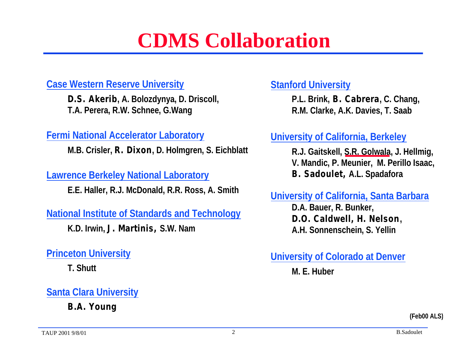## **CDMS Collaboration**

#### **Case Western Reserve University**

**D.S. Akerib, A. Bolozdynya, D. Driscoll, T.A. Perera, R.W. Schnee, G.Wang**

#### **Fermi National Accelerator Laboratory**

**M.B. Crisler, R. Dixon, D. Holmgren, S. Eichblatt**

**Lawrence Berkeley National Laboratory**

**E.E. Haller, R.J. McDonald, R.R. Ross, A. Smith**

**National Institute of Standards and Technology**

**K.D. Irwin, J. Martinis, S.W. Nam**

**Princeton University**

**T. Shutt**

#### **Santa Clara University**

**B.A. Young**

#### **Stanford University**

**P.L. Brink, B. Cabrera, C. Chang, R.M. Clarke, A.K. Davies, T. Saab**

#### **University of California, Berkeley**

**R.J. Gaitskell, S.R. Golwala, J. Hellmig, V. Mandic, P. Meunier, M. Perillo Isaac, B. Sadoulet, A.L. Spadafora**

#### **University of California, Santa Barbara**

**D.A. Bauer, R. Bunker, D.O. Caldwell, H. Nelson, A.H. Sonnenschein, S. Yellin**

#### **University of Colorado at Denver**

**M. E. Huber**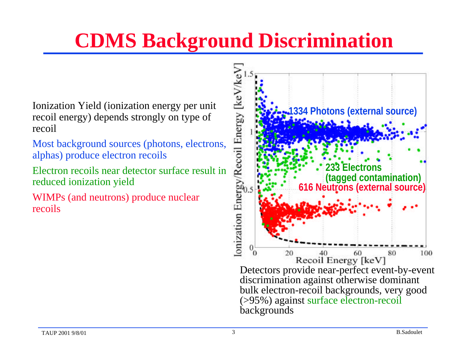# **CDMS Background Discrimination**

Ionization Yield (ionization energy per unit recoil energy) depends strongly on type of recoil

Most background sources (photons, electrons, alphas) produce electron recoils

Electron recoils near detector surface result in reduced ionization yield

WIMPs (and neutrons) produce nuclear recoils

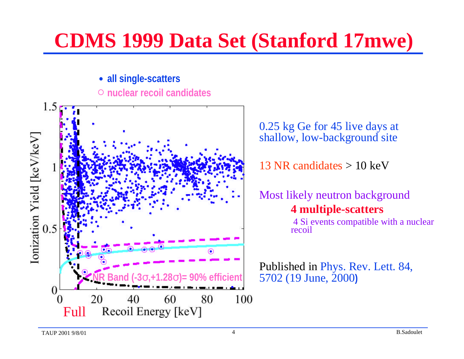## **CDMS 1999 Data Set (Stanford 17mwe)**

#### **all single-scatters nuclear recoil candidates**



0.25 kg Ge for 45 live days at shallow, low-background site

13 NR candidates  $> 10 \text{ keV}$ 

Most likely neutron background **4 multiple-scatters**

 4 Si events compatible with a nuclear recoil

Published in Phys. Rev. Lett. 84, 5702 (19 June, 2000**)**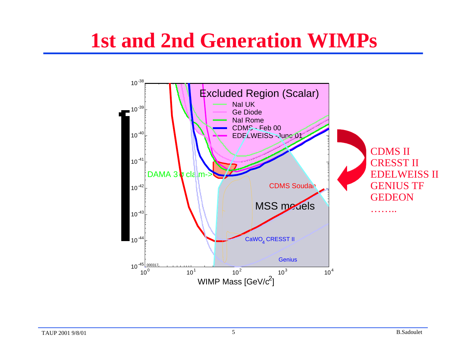## **1st and 2nd Generation WIMPs**

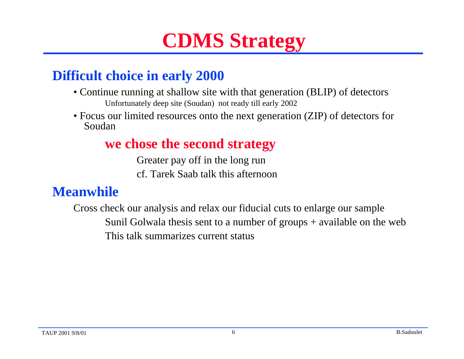# **CDMS Strategy**

### **Difficult choice in early 2000**

- Continue running at shallow site with that generation (BLIP) of detectors Unfortunately deep site (Soudan) not ready till early 2002
- Focus our limited resources onto the next generation (ZIP) of detectors for Soudan

#### **we chose the second strategy**

Greater pay off in the long run cf. Tarek Saab talk this afternoon

#### **Meanwhile**

Cross check our analysis and relax our fiducial cuts to enlarge our sample Sunil Golwala thesis sent to a number of groups + available on the web This talk summarizes current status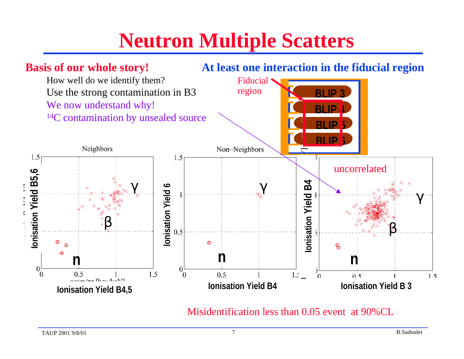# **Neutron Multiple Scatters**



Misidentification less than 0.05 event at 90%CL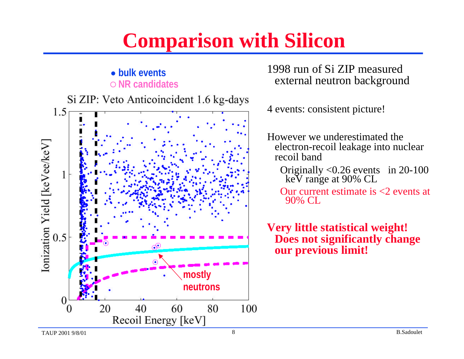# **Comparison with Silicon**

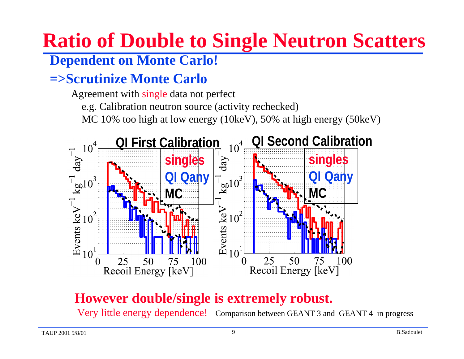# **Ratio of Double to Single Neutron Scatters**

### **Dependent on Monte Carlo!**

### **=>Scrutinize Monte Carlo**

Agreement with single data not perfect

e.g. Calibration neutron source (activity rechecked)

MC 10% too high at low energy (10keV), 50% at high energy (50keV)



### **However double/single is extremely robust.**

Very little energy dependence! Comparison between GEANT 3 and GEANT 4 in progress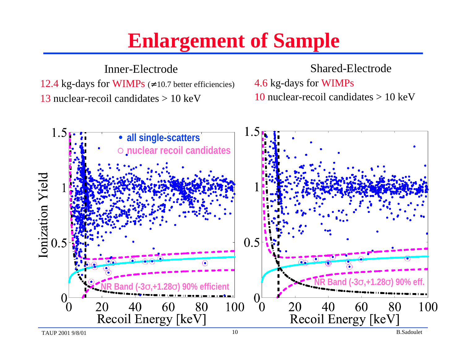## **Enlargement of Sample**

Inner-Electrode 12.4 kg-days for WIMPs ( 10.7 better efficiencies) 13 nuclear-recoil candidates > 10 keV

#### Shared-Electrode

4.6 kg-days for WIMPs 10 nuclear-recoil candidates  $> 10 \text{ keV}$ 

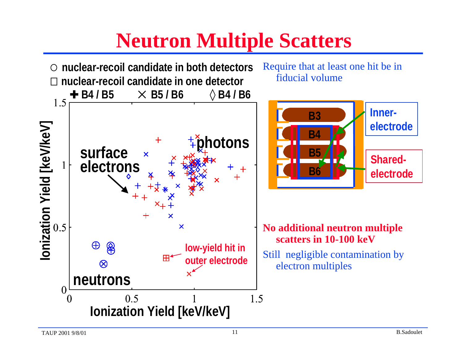# **Neutron Multiple Scatters**

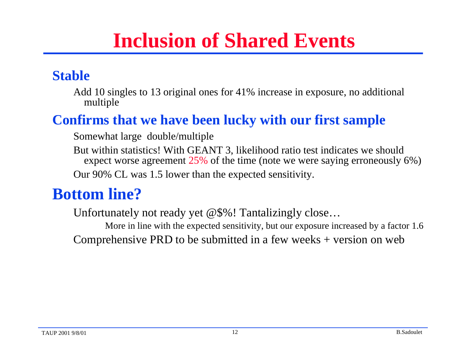## **Inclusion of Shared Events**

### **Stable**

Add 10 singles to 13 original ones for 41% increase in exposure, no additional multiple

### **Confirms that we have been lucky with our first sample**

Somewhat large double/multiple

But within statistics! With GEANT 3, likelihood ratio test indicates we should expect worse agreement 25% of the time (note we were saying erroneously 6%) Our 90% CL was 1.5 lower than the expected sensitivity.

## **Bottom line?**

Unfortunately not ready yet @\$%! Tantalizingly close… More in line with the expected sensitivity, but our exposure increased by a factor 1.6

Comprehensive PRD to be submitted in a few weeks + version on web